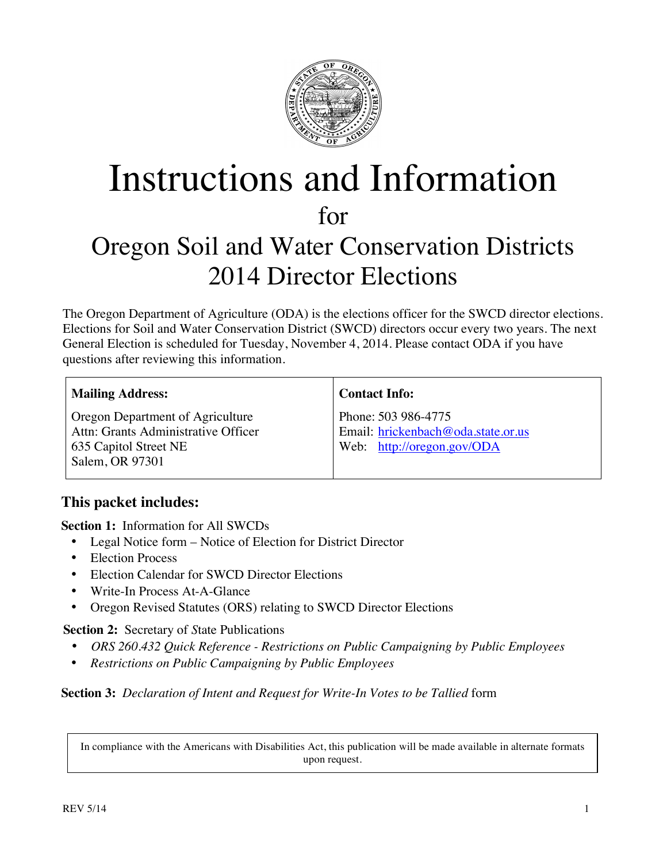

# Instructions and Information for Oregon Soil and Water Conservation Districts 2014 Director Elections

The Oregon Department of Agriculture (ODA) is the elections officer for the SWCD director elections. Elections for Soil and Water Conservation District (SWCD) directors occur every two years. The next General Election is scheduled for Tuesday, November 4, 2014. Please contact ODA if you have questions after reviewing this information.

Oregon Department of Agriculture Attn: Grants Administrative Officer 635 Capitol Street NE Salem, OR 97301

**Contact Info:**

Phone: 503 986-4775 Email: hrickenbach@oda.state.or.us Web: http://oregon.gov/ODA

## **This packet includes:**

**Section 1:** Information for All SWCDs

- Legal Notice form Notice of Election for District Director
- Election Process
- Election Calendar for SWCD Director Elections
- Write-In Process At-A-Glance
- Oregon Revised Statutes (ORS) relating to SWCD Director Elections

**Section 2:** Secretary of *S*tate Publications

- *ORS 260.432 Quick Reference - Restrictions on Public Campaigning by Public Employees*
- *Restrictions on Public Campaigning by Public Employees*

### **Section 3:** *Declaration of Intent and Request for Write-In Votes to be Tallied* form

In compliance with the Americans with Disabilities Act, this publication will be made available in alternate formats upon request.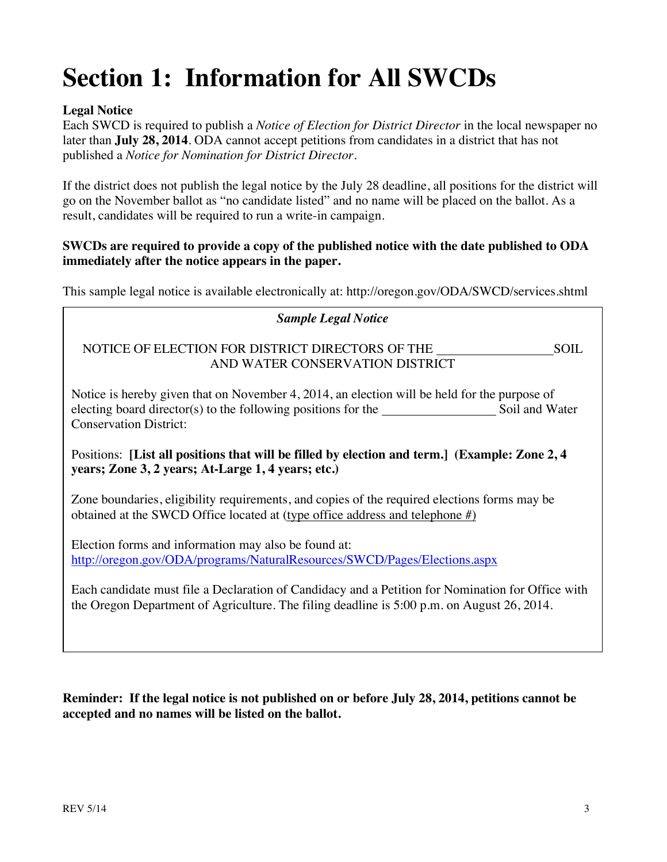# **Section 1: Information for All SWCDs**

### **Legal Notice**

Each SWCD is required to publish a *Notice of Election for District Director* in the local newspaper no later than **July 28, 2014**. ODA cannot accept petitions from candidates in a district that has not published a *Notice for Nomination for District Director*.

If the district does not publish the legal notice by the July 28 deadline, all positions for the district will go on the November ballot as "no candidate listed" and no name will be placed on the ballot. As a result, candidates will be required to run a write-in campaign.

### **SWCDs are required to provide a copy of the published notice with the date published to ODA immediately after the notice appears in the paper.**

This sample legal notice is available electronically at: http://oregon.gov/ODA/SWCD/services.shtml

# *Sample Legal Notice* NOTICE OF ELECTION FOR DISTRICT DIRECTORS OF THE SOIL AND WATER CONSERVATION DISTRICT Notice is hereby given that on November 4, 2014, an election will be held for the purpose of electing board director(s) to the following positions for the Soil and Water Conservation District: Positions: **[List all positions that will be filled by election and term.] (Example: Zone 2, 4 years; Zone 3, 2 years; At-Large 1, 4 years; etc.)** Zone boundaries, eligibility requirements, and copies of the required elections forms may be obtained at the SWCD Office located at (type office address and telephone #) Election forms and information may also be found at: http://oregon.gov/ODA/programs/NaturalResources/SWCD/Pages/Elections.aspx Each candidate must file a Declaration of Candidacy and a Petition for Nomination for Office with the Oregon Department of Agriculture. The filing deadline is 5:00 p.m. on August 26, 2014.

### **Reminder: If the legal notice is not published on or before July 28, 2014, petitions cannot be accepted and no names will be listed on the ballot.**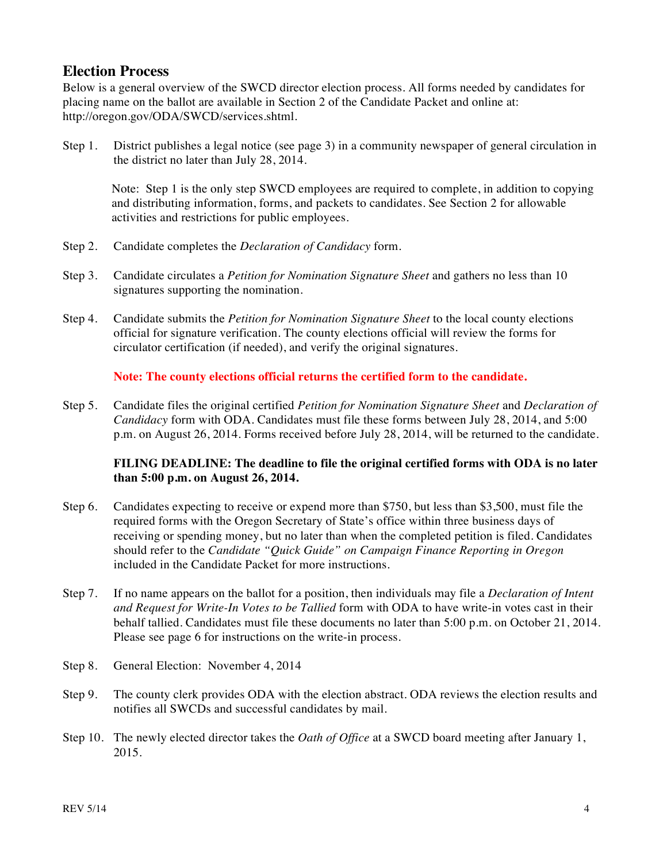## **Election Process**

Below is a general overview of the SWCD director election process. All forms needed by candidates for placing name on the ballot are available in Section 2 of the Candidate Packet and online at: http://oregon.gov/ODA/SWCD/services.shtml.

Step 1. District publishes a legal notice (see page 3) in a community newspaper of general circulation in the district no later than July 28, 2014.

Note: Step 1 is the only step SWCD employees are required to complete, in addition to copying and distributing information, forms, and packets to candidates. See Section 2 for allowable activities and restrictions for public employees.

- Step 2. Candidate completes the *Declaration of Candidacy* form.
- Step 3. Candidate circulates a *Petition for Nomination Signature Sheet* and gathers no less than 10 signatures supporting the nomination.
- Step 4. Candidate submits the *Petition for Nomination Signature Sheet* to the local county elections official for signature verification. The county elections official will review the forms for circulator certification (if needed), and verify the original signatures.

#### **Note: The county elections official returns the certified form to the candidate.**

Step 5. Candidate files the original certified *Petition for Nomination Signature Sheet* and *Declaration of Candidacy* form with ODA. Candidates must file these forms between July 28, 2014, and 5:00 p.m. on August 26, 2014. Forms received before July 28, 2014, will be returned to the candidate.

#### **FILING DEADLINE: The deadline to file the original certified forms with ODA is no later than 5:00 p.m. on August 26, 2014.**

- Step 6. Candidates expecting to receive or expend more than \$750, but less than \$3,500, must file the required forms with the Oregon Secretary of State's office within three business days of receiving or spending money, but no later than when the completed petition is filed. Candidates should refer to the *Candidate "Quick Guide" on Campaign Finance Reporting in Oregon* included in the Candidate Packet for more instructions.
- Step 7. If no name appears on the ballot for a position, then individuals may file a *Declaration of Intent and Request for Write-In Votes to be Tallied* form with ODA to have write-in votes cast in their behalf tallied. Candidates must file these documents no later than 5:00 p.m. on October 21, 2014. Please see page 6 for instructions on the write-in process.
- Step 8. General Election: November 4, 2014
- Step 9. The county clerk provides ODA with the election abstract. ODA reviews the election results and notifies all SWCDs and successful candidates by mail.
- Step 10. The newly elected director takes the *Oath of Office* at a SWCD board meeting after January 1, 2015.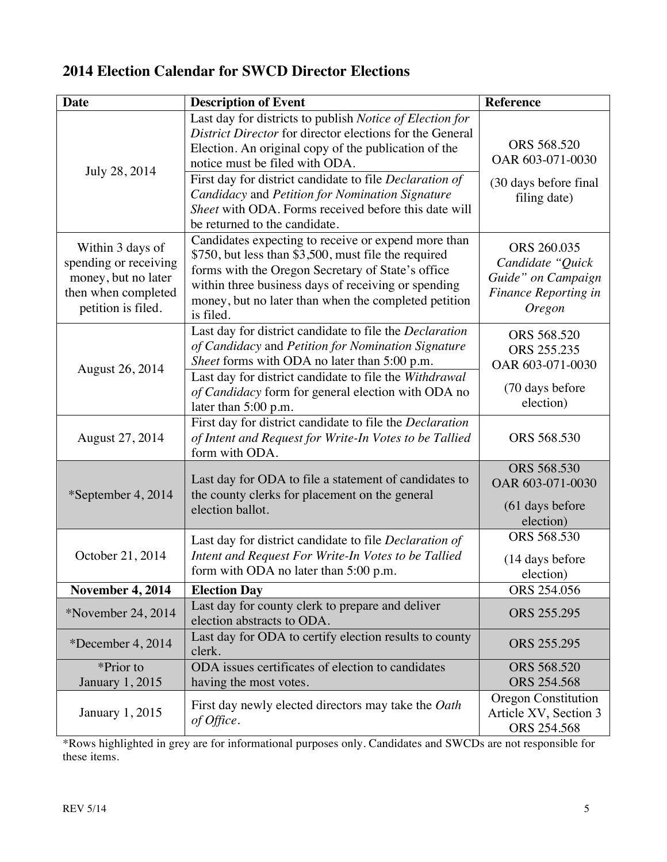# **2014 Election Calendar for SWCD Director Elections**

| <b>Date</b>                                                                                                   | <b>Description of Event</b>                                                                                                                                                                                                                                                                                                                                                                                           | <b>Reference</b>                                                                                             |
|---------------------------------------------------------------------------------------------------------------|-----------------------------------------------------------------------------------------------------------------------------------------------------------------------------------------------------------------------------------------------------------------------------------------------------------------------------------------------------------------------------------------------------------------------|--------------------------------------------------------------------------------------------------------------|
| July 28, 2014                                                                                                 | Last day for districts to publish Notice of Election for<br>District Director for director elections for the General<br>Election. An original copy of the publication of the<br>notice must be filed with ODA.<br>First day for district candidate to file Declaration of<br>Candidacy and Petition for Nomination Signature<br>Sheet with ODA. Forms received before this date will<br>be returned to the candidate. | ORS 568.520<br>OAR 603-071-0030<br>(30 days before final<br>filing date)                                     |
| Within 3 days of<br>spending or receiving<br>money, but no later<br>then when completed<br>petition is filed. | Candidates expecting to receive or expend more than<br>\$750, but less than \$3,500, must file the required<br>forms with the Oregon Secretary of State's office<br>within three business days of receiving or spending<br>money, but no later than when the completed petition<br>is filed.                                                                                                                          | ORS 260.035<br>Candidate "Quick<br>Guide" on Campaign<br><b>Finance Reporting in</b><br><i><b>Oregon</b></i> |
| August 26, 2014                                                                                               | Last day for district candidate to file the Declaration<br>of Candidacy and Petition for Nomination Signature<br>Sheet forms with ODA no later than 5:00 p.m.<br>Last day for district candidate to file the Withdrawal<br>of Candidacy form for general election with ODA no<br>later than 5:00 p.m.                                                                                                                 | ORS 568.520<br>ORS 255.235<br>OAR 603-071-0030<br>(70 days before<br>election)                               |
| August 27, 2014                                                                                               | First day for district candidate to file the Declaration<br>of Intent and Request for Write-In Votes to be Tallied<br>form with ODA.                                                                                                                                                                                                                                                                                  | ORS 568.530                                                                                                  |
| *September 4, 2014                                                                                            | Last day for ODA to file a statement of candidates to<br>the county clerks for placement on the general<br>election ballot.                                                                                                                                                                                                                                                                                           | ORS 568.530<br>OAR 603-071-0030<br>(61 days before<br>election)                                              |
| October 21, 2014                                                                                              | Last day for district candidate to file <i>Declaration of</i><br>Intent and Request For Write-In Votes to be Tallied<br>form with ODA no later than 5:00 p.m.                                                                                                                                                                                                                                                         | ORS 568.530<br>(14 days before<br>election)                                                                  |
| <b>November 4, 2014</b>                                                                                       | <b>Election Day</b>                                                                                                                                                                                                                                                                                                                                                                                                   | ORS 254.056                                                                                                  |
| *November 24, $2014$                                                                                          | Last day for county clerk to prepare and deliver<br>election abstracts to ODA.                                                                                                                                                                                                                                                                                                                                        | ORS 255.295                                                                                                  |
| *December 4, $2014$                                                                                           | Last day for ODA to certify election results to county<br>clerk.                                                                                                                                                                                                                                                                                                                                                      | ORS 255.295                                                                                                  |
| *Prior to<br>January 1, 2015                                                                                  | ODA issues certificates of election to candidates<br>having the most votes.                                                                                                                                                                                                                                                                                                                                           | ORS 568.520<br>ORS 254.568                                                                                   |
| January 1, 2015                                                                                               | First day newly elected directors may take the Oath<br>of Office.                                                                                                                                                                                                                                                                                                                                                     | <b>Oregon Constitution</b><br>Article XV, Section 3<br>ORS 254.568                                           |

\*Rows highlighted in grey are for informational purposes only. Candidates and SWCDs are not responsible for these items.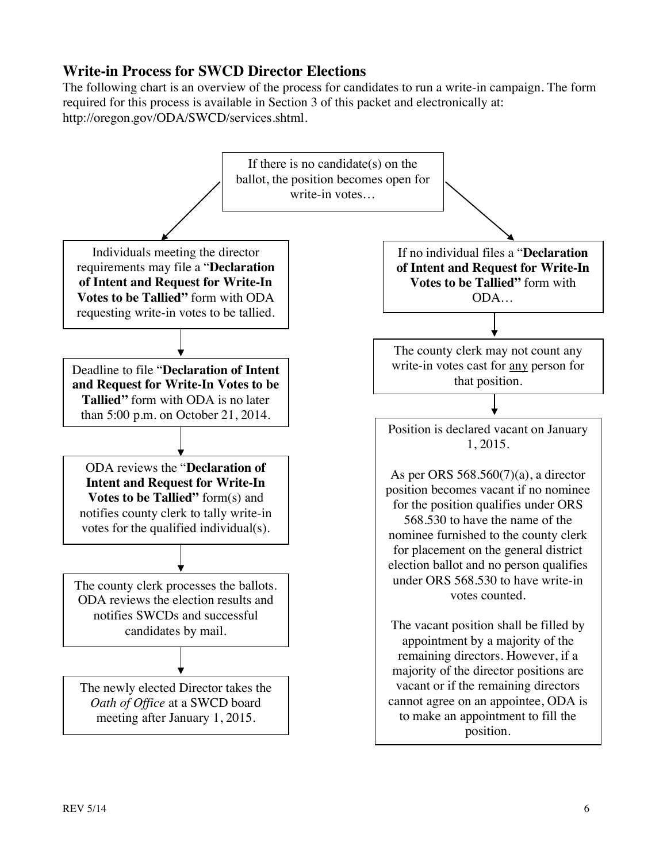## **Write-in Process for SWCD Director Elections**

The following chart is an overview of the process for candidates to run a write-in campaign. The form required for this process is available in Section 3 of this packet and electronically at: http://oregon.gov/ODA/SWCD/services.shtml.

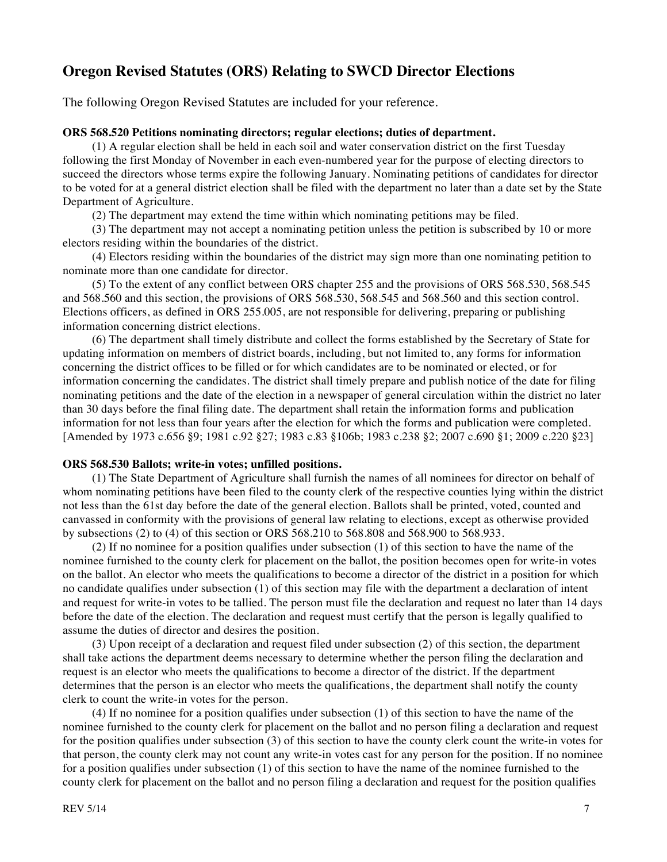## **Oregon Revised Statutes (ORS) Relating to SWCD Director Elections**

The following Oregon Revised Statutes are included for your reference.

#### **ORS 568.520 Petitions nominating directors; regular elections; duties of department.**

(1) A regular election shall be held in each soil and water conservation district on the first Tuesday following the first Monday of November in each even-numbered year for the purpose of electing directors to succeed the directors whose terms expire the following January. Nominating petitions of candidates for director to be voted for at a general district election shall be filed with the department no later than a date set by the State Department of Agriculture.

(2) The department may extend the time within which nominating petitions may be filed.

(3) The department may not accept a nominating petition unless the petition is subscribed by 10 or more electors residing within the boundaries of the district.

(4) Electors residing within the boundaries of the district may sign more than one nominating petition to nominate more than one candidate for director.

(5) To the extent of any conflict between ORS chapter 255 and the provisions of ORS 568.530, 568.545 and 568.560 and this section, the provisions of ORS 568.530, 568.545 and 568.560 and this section control. Elections officers, as defined in ORS 255.005, are not responsible for delivering, preparing or publishing information concerning district elections.

(6) The department shall timely distribute and collect the forms established by the Secretary of State for updating information on members of district boards, including, but not limited to, any forms for information concerning the district offices to be filled or for which candidates are to be nominated or elected, or for information concerning the candidates. The district shall timely prepare and publish notice of the date for filing nominating petitions and the date of the election in a newspaper of general circulation within the district no later than 30 days before the final filing date. The department shall retain the information forms and publication information for not less than four years after the election for which the forms and publication were completed. [Amended by 1973 c.656 §9; 1981 c.92 §27; 1983 c.83 §106b; 1983 c.238 §2; 2007 c.690 §1; 2009 c.220 §23]

#### **ORS 568.530 Ballots; write-in votes; unfilled positions.**

(1) The State Department of Agriculture shall furnish the names of all nominees for director on behalf of whom nominating petitions have been filed to the county clerk of the respective counties lying within the district not less than the 61st day before the date of the general election. Ballots shall be printed, voted, counted and canvassed in conformity with the provisions of general law relating to elections, except as otherwise provided by subsections (2) to (4) of this section or ORS 568.210 to 568.808 and 568.900 to 568.933.

(2) If no nominee for a position qualifies under subsection (1) of this section to have the name of the nominee furnished to the county clerk for placement on the ballot, the position becomes open for write-in votes on the ballot. An elector who meets the qualifications to become a director of the district in a position for which no candidate qualifies under subsection (1) of this section may file with the department a declaration of intent and request for write-in votes to be tallied. The person must file the declaration and request no later than 14 days before the date of the election. The declaration and request must certify that the person is legally qualified to assume the duties of director and desires the position.

(3) Upon receipt of a declaration and request filed under subsection (2) of this section, the department shall take actions the department deems necessary to determine whether the person filing the declaration and request is an elector who meets the qualifications to become a director of the district. If the department determines that the person is an elector who meets the qualifications, the department shall notify the county clerk to count the write-in votes for the person.

(4) If no nominee for a position qualifies under subsection (1) of this section to have the name of the nominee furnished to the county clerk for placement on the ballot and no person filing a declaration and request for the position qualifies under subsection (3) of this section to have the county clerk count the write-in votes for that person, the county clerk may not count any write-in votes cast for any person for the position. If no nominee for a position qualifies under subsection (1) of this section to have the name of the nominee furnished to the county clerk for placement on the ballot and no person filing a declaration and request for the position qualifies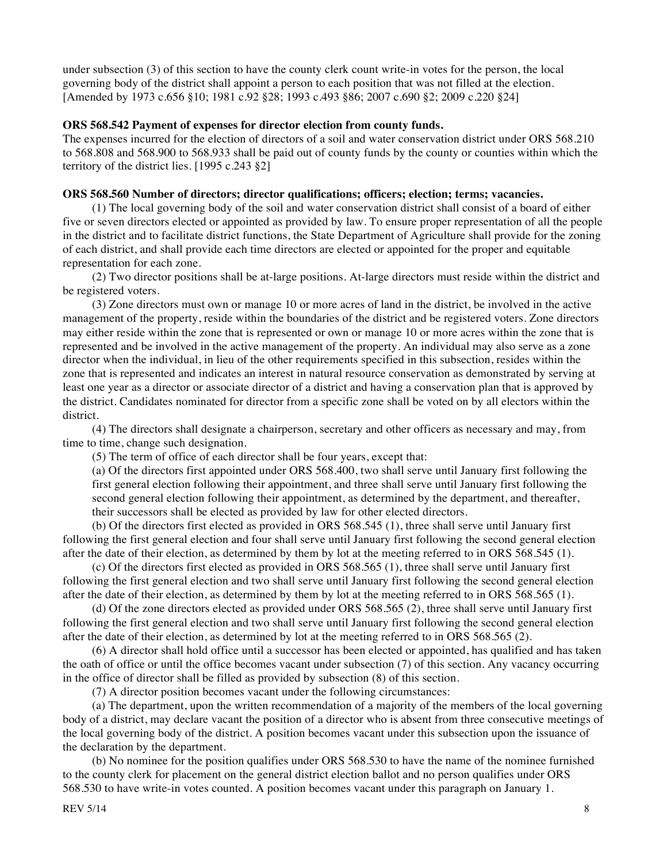under subsection (3) of this section to have the county clerk count write-in votes for the person, the local governing body of the district shall appoint a person to each position that was not filled at the election. [Amended by 1973 c.656 §10; 1981 c.92 §28; 1993 c.493 §86; 2007 c.690 §2; 2009 c.220 §24]

#### **ORS 568.542 Payment of expenses for director election from county funds.**

The expenses incurred for the election of directors of a soil and water conservation district under ORS 568.210 to 568.808 and 568.900 to 568.933 shall be paid out of county funds by the county or counties within which the territory of the district lies. [1995 c.243 §2]

#### **ORS 568.560 Number of directors; director qualifications; officers; election; terms; vacancies.**

(1) The local governing body of the soil and water conservation district shall consist of a board of either five or seven directors elected or appointed as provided by law. To ensure proper representation of all the people in the district and to facilitate district functions, the State Department of Agriculture shall provide for the zoning of each district, and shall provide each time directors are elected or appointed for the proper and equitable representation for each zone.

(2) Two director positions shall be at-large positions. At-large directors must reside within the district and be registered voters.

(3) Zone directors must own or manage 10 or more acres of land in the district, be involved in the active management of the property, reside within the boundaries of the district and be registered voters. Zone directors may either reside within the zone that is represented or own or manage 10 or more acres within the zone that is represented and be involved in the active management of the property. An individual may also serve as a zone director when the individual, in lieu of the other requirements specified in this subsection, resides within the zone that is represented and indicates an interest in natural resource conservation as demonstrated by serving at least one year as a director or associate director of a district and having a conservation plan that is approved by the district. Candidates nominated for director from a specific zone shall be voted on by all electors within the district.

(4) The directors shall designate a chairperson, secretary and other officers as necessary and may, from time to time, change such designation.

(5) The term of office of each director shall be four years, except that:

(a) Of the directors first appointed under ORS 568.400, two shall serve until January first following the first general election following their appointment, and three shall serve until January first following the second general election following their appointment, as determined by the department, and thereafter, their successors shall be elected as provided by law for other elected directors.

(b) Of the directors first elected as provided in ORS 568.545 (1), three shall serve until January first following the first general election and four shall serve until January first following the second general election after the date of their election, as determined by them by lot at the meeting referred to in ORS 568.545 (1).

(c) Of the directors first elected as provided in ORS 568.565 (1), three shall serve until January first following the first general election and two shall serve until January first following the second general election after the date of their election, as determined by them by lot at the meeting referred to in ORS 568.565 (1).

(d) Of the zone directors elected as provided under ORS 568.565 (2), three shall serve until January first following the first general election and two shall serve until January first following the second general election after the date of their election, as determined by lot at the meeting referred to in ORS 568.565 (2).

(6) A director shall hold office until a successor has been elected or appointed, has qualified and has taken the oath of office or until the office becomes vacant under subsection (7) of this section. Any vacancy occurring in the office of director shall be filled as provided by subsection (8) of this section.

(7) A director position becomes vacant under the following circumstances:

(a) The department, upon the written recommendation of a majority of the members of the local governing body of a district, may declare vacant the position of a director who is absent from three consecutive meetings of the local governing body of the district. A position becomes vacant under this subsection upon the issuance of the declaration by the department.

(b) No nominee for the position qualifies under ORS 568.530 to have the name of the nominee furnished to the county clerk for placement on the general district election ballot and no person qualifies under ORS 568.530 to have write-in votes counted. A position becomes vacant under this paragraph on January 1.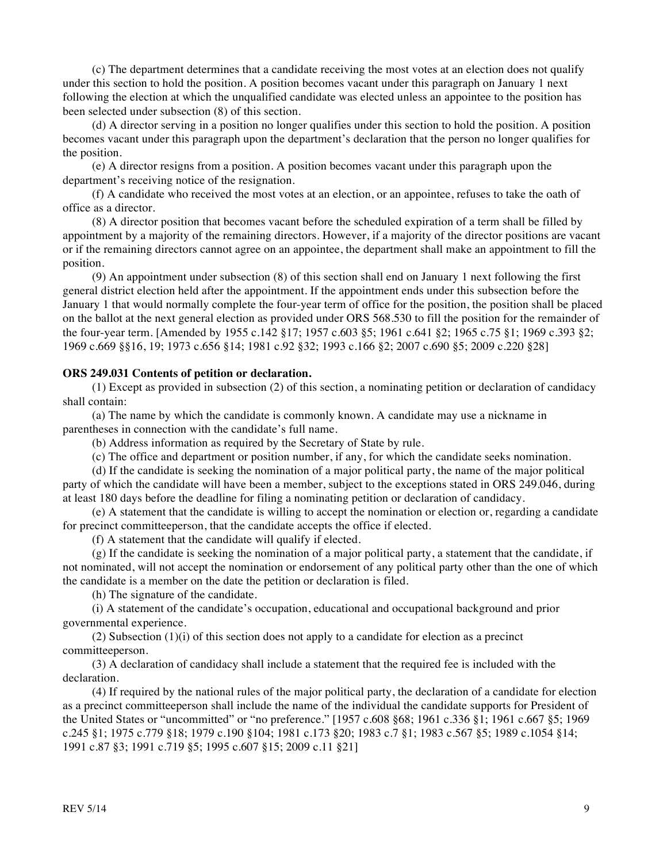(c) The department determines that a candidate receiving the most votes at an election does not qualify under this section to hold the position. A position becomes vacant under this paragraph on January 1 next following the election at which the unqualified candidate was elected unless an appointee to the position has been selected under subsection (8) of this section.

(d) A director serving in a position no longer qualifies under this section to hold the position. A position becomes vacant under this paragraph upon the department's declaration that the person no longer qualifies for the position.

(e) A director resigns from a position. A position becomes vacant under this paragraph upon the department's receiving notice of the resignation.

(f) A candidate who received the most votes at an election, or an appointee, refuses to take the oath of office as a director.

(8) A director position that becomes vacant before the scheduled expiration of a term shall be filled by appointment by a majority of the remaining directors. However, if a majority of the director positions are vacant or if the remaining directors cannot agree on an appointee, the department shall make an appointment to fill the position.

(9) An appointment under subsection (8) of this section shall end on January 1 next following the first general district election held after the appointment. If the appointment ends under this subsection before the January 1 that would normally complete the four-year term of office for the position, the position shall be placed on the ballot at the next general election as provided under ORS 568.530 to fill the position for the remainder of the four-year term. [Amended by 1955 c.142 §17; 1957 c.603 §5; 1961 c.641 §2; 1965 c.75 §1; 1969 c.393 §2; 1969 c.669 §§16, 19; 1973 c.656 §14; 1981 c.92 §32; 1993 c.166 §2; 2007 c.690 §5; 2009 c.220 §28]

#### **ORS 249.031 Contents of petition or declaration.**

(1) Except as provided in subsection (2) of this section, a nominating petition or declaration of candidacy shall contain:

(a) The name by which the candidate is commonly known. A candidate may use a nickname in parentheses in connection with the candidate's full name.

(b) Address information as required by the Secretary of State by rule.

(c) The office and department or position number, if any, for which the candidate seeks nomination.

(d) If the candidate is seeking the nomination of a major political party, the name of the major political party of which the candidate will have been a member, subject to the exceptions stated in ORS 249.046, during at least 180 days before the deadline for filing a nominating petition or declaration of candidacy.

(e) A statement that the candidate is willing to accept the nomination or election or, regarding a candidate for precinct committeeperson, that the candidate accepts the office if elected.

(f) A statement that the candidate will qualify if elected.

(g) If the candidate is seeking the nomination of a major political party, a statement that the candidate, if not nominated, will not accept the nomination or endorsement of any political party other than the one of which the candidate is a member on the date the petition or declaration is filed.

(h) The signature of the candidate.

(i) A statement of the candidate's occupation, educational and occupational background and prior governmental experience.

(2) Subsection  $(1)(i)$  of this section does not apply to a candidate for election as a precinct committeeperson.

(3) A declaration of candidacy shall include a statement that the required fee is included with the declaration.

(4) If required by the national rules of the major political party, the declaration of a candidate for election as a precinct committeeperson shall include the name of the individual the candidate supports for President of the United States or "uncommitted" or "no preference." [1957 c.608 §68; 1961 c.336 §1; 1961 c.667 §5; 1969 c.245 §1; 1975 c.779 §18; 1979 c.190 §104; 1981 c.173 §20; 1983 c.7 §1; 1983 c.567 §5; 1989 c.1054 §14; 1991 c.87 §3; 1991 c.719 §5; 1995 c.607 §15; 2009 c.11 §21]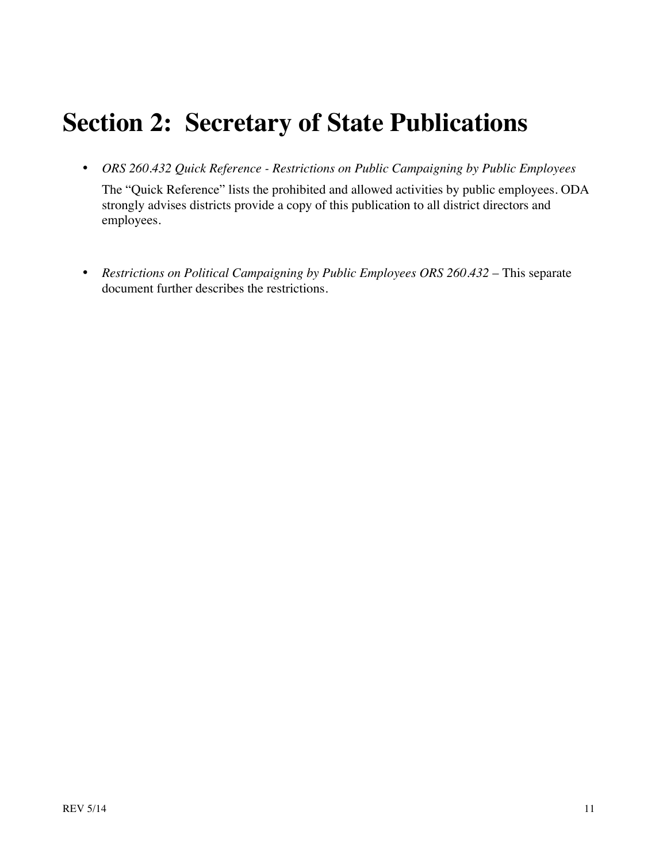# **Section 2: Secretary of State Publications**

• *ORS 260.432 Quick Reference - Restrictions on Public Campaigning by Public Employees* 

The "Quick Reference" lists the prohibited and allowed activities by public employees. ODA strongly advises districts provide a copy of this publication to all district directors and employees.

• *Restrictions on Political Campaigning by Public Employees ORS 260.432* – This separate document further describes the restrictions.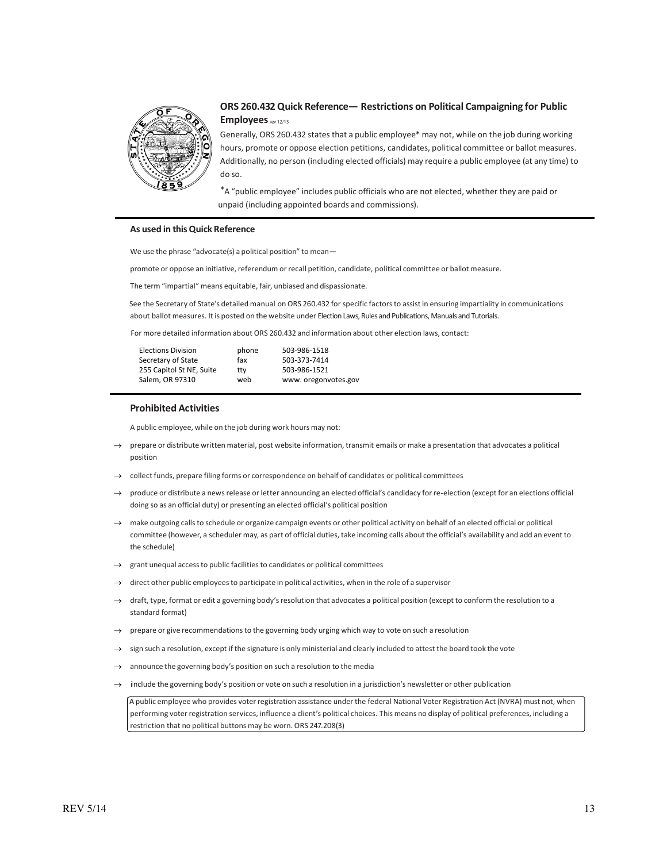

#### **ORS 260.432 Quick Reference— Restrictions on Political Campaigning for Public Employees**

Generally, ORS 260.432 states that a public employee\* may not, while on the job during working hours, promote or oppose election petitions, candidates, political committee or ballot measures. Additionally, no person (including elected officials) may require a public employee (at any time) to do so.

\*A "public employee" includes public officials who are not elected, whether they are paid or unpaid (including appointed boards and commissions).

#### **As used in thisQuick Reference**

We use the phrase "advocate(s) a political position" to mean-

promote or oppose an initiative, referendum or recall petition, candidate, political committee or ballot measure.

The term "impartial" means equitable, fair, unbiased and dispassionate.

See the Secretary of State's detailed manual on ORS 260.432 for specific factors to assist in ensuring impartiality in communications about ballot measures. It is posted on the website under Election Laws, Rules and Publications, Manuals and Tutorials.

For more detailed information about ORS 260.432 and information about other election laws, contact:

| <b>Elections Division</b> | phone | 503-986-1518        |
|---------------------------|-------|---------------------|
| Secretary of State        | fax   | 503-373-7414        |
| 255 Capitol St NE, Suite  | ttv   | 503-986-1521        |
| Salem, OR 97310           | web   | www.oregonvotes.gov |
|                           |       |                     |

#### **Prohibited Activities**

A public employee, while on the job during work hours may not:

- $\rightarrow$  prepare or distribute written material, post website information, transmit emails or make a presentation that advocates a political position
- $\rightarrow$  collect funds, prepare filing forms or correspondence on behalf of candidates or political committees
- produce or distribute a news release or letter announcing an elected official's candidacy for re-election (except for an elections official doing so as an official duty) or presenting an elected official's political position
- $\rightarrow$  make outgoing calls to schedule or organize campaign events or other political activity on behalf of an elected official or political committee (however, a scheduler may, as part of official duties, take incoming calls about the official's availability and add an event to the schedule)
- grant unequal access to public facilities to candidates or political committees
- direct other public employees to participate in political activities, when in the role of a supervisor
- draft, type, format or edit a governing body's resolution that advocates a political position (except to conform the resolution to a standard format)
- prepare or give recommendations to the governing body urging which way to vote on such a resolution
- sign such a resolution, except if the signature is only ministerial and clearly included to attest the board took the vote
- announce the governing body's position on such a resolution to the media
- include the governing body's position or vote on such a resolution in a jurisdiction's newsletter or other publication

A public employee who provides voter registration assistance under the federal National Voter Registration Act (NVRA) must not, when performing voter registration services, influence a client's political choices. This means no display of political preferences, including a restriction that no political buttons may be worn. ORS 247.208(3)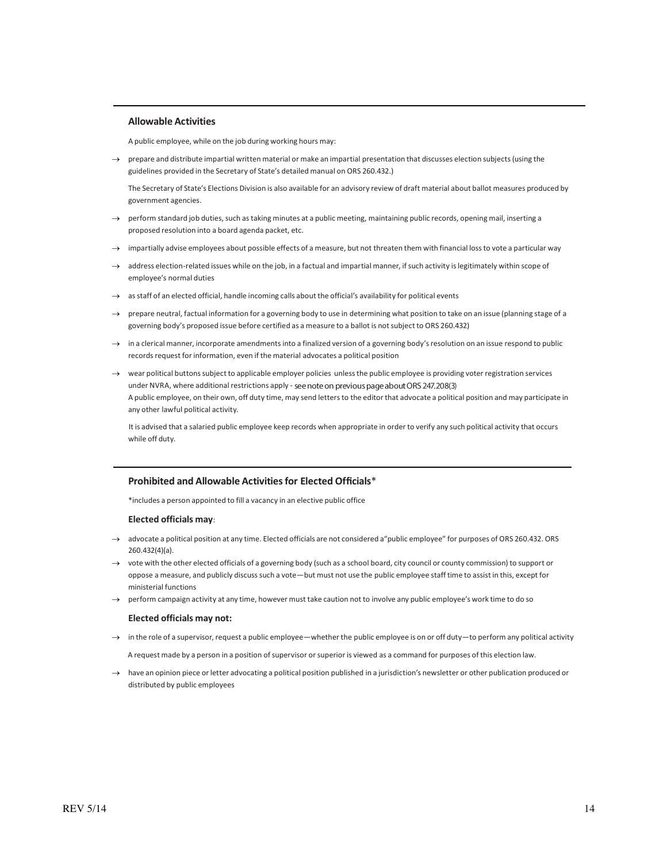#### **Allowable Activities**

A public employee, while on the job during working hours may:

 $\rightarrow$  prepare and distribute impartial written material or make an impartial presentation that discusses election subjects (using the guidelines provided in the Secretary of State's detailed manual on ORS 260.432.)

The Secretary of State's Elections Division is also available for an advisory review of draft material about ballot measures produced by government agencies.

- perform standard job duties, such as taking minutes at a public meeting, maintaining public records, opening mail, inserting a proposed resolution into a board agenda packet, etc.
- $\rightarrow$  impartially advise employees about possible effects of a measure, but not threaten them with financial loss to vote a particular way
- address election-related issues while on the job, in a factual and impartial manner, if such activity is legitimately within scope of employee's normal duties
- $\rightarrow$  as staff of an elected official, handle incoming calls about the official's availability for political events
- $\rightarrow$  prepare neutral, factual information for a governing body to use in determining what position to take on an issue (planning stage of a governing body's proposed issue before certified as a measure to a ballot is notsubject to ORS 260.432)
- $\rightarrow$  in a clerical manner, incorporate amendments into a finalized version of a governing body's resolution on an issue respond to public records request for information, even if the material advocates a political position
- $\rightarrow$  wear political buttons subject to applicable employer policies unless the public employee is providing voter registration services under NVRA, where additional restrictions apply - see note on previous page about ORS 247.208(3) A public employee, on their own, off duty time, may send lettersto the editor that advocate a political position and may participate in any other lawful political activity.

It is advised that a salaried public employee keep records when appropriate in order to verify any such political activity that occurs while off duty.

#### **Prohibited and Allowable Activitiesfor Elected Officials**\*

\*includes a person appointed to fill a vacancy in an elective public office

#### **Elected officials may**:

- $\rightarrow$  advocate a political position at any time. Elected officials are not considered a"public employee" for purposes of ORS 260.432. ORS 260.432(4)(a).
- vote with the other elected officials of a governing body (such as a school board, city council or county commission) to support or oppose a measure, and publicly discusssuch a vote—but must not use the public employee staff time to assist in this, except for ministerial functions
- $\rightarrow$  perform campaign activity at any time, however must take caution not to involve any public employee's work time to do so

#### **Elected officials may not:**

→ in the role of a supervisor, request a public employee—whether the public employee is on or off duty—to perform any political activity

A request made by a person in a position of supervisor or superior is viewed as a command for purposes of this election law.

 $\rightarrow$  have an opinion piece or letter advocating a political position published in a jurisdiction's newsletter or other publication produced or distributed by public employees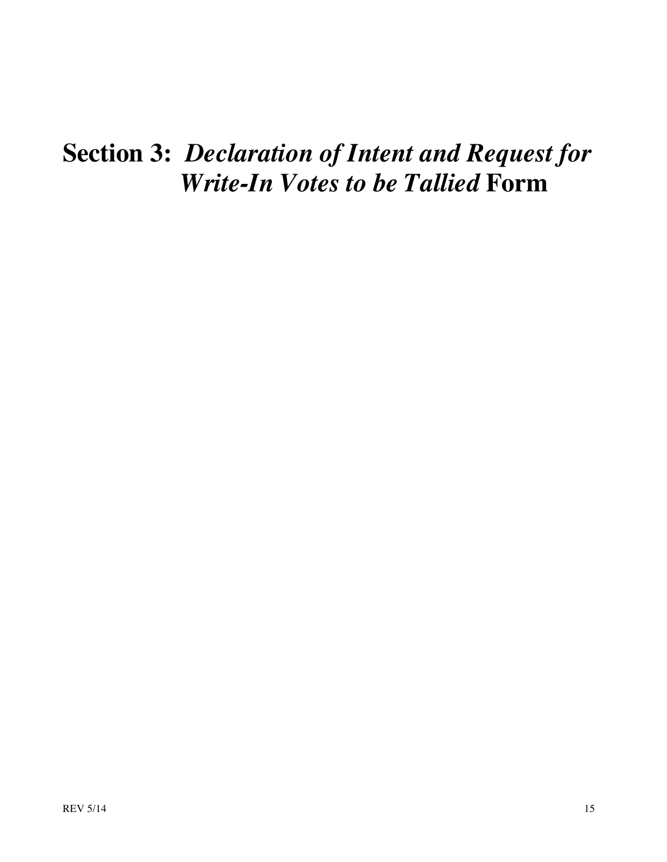# **Section 3:** *Declaration of Intent and Request for Write-In Votes to be Tallied* **Form**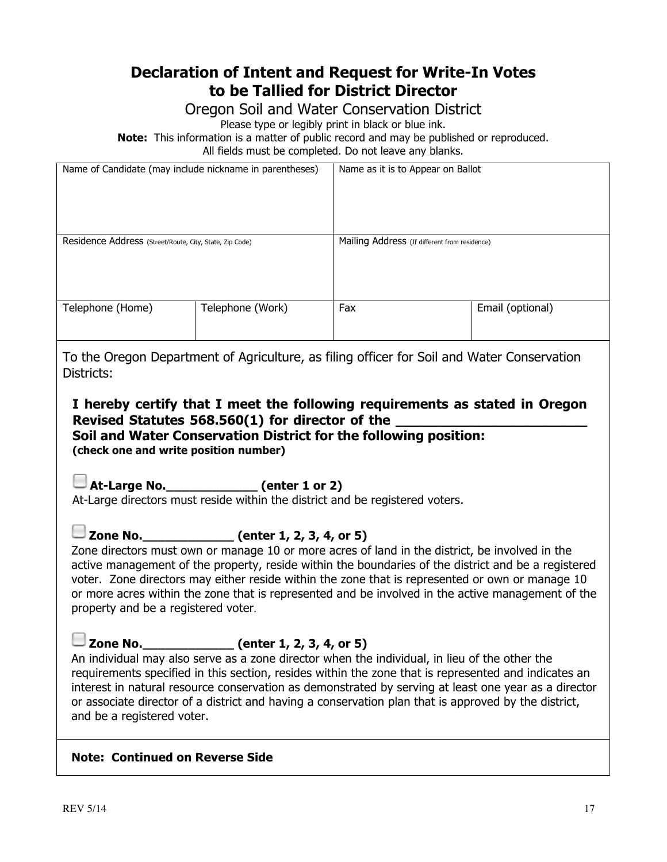## **Declaration of Intent and Request for Write-In Votes to be Tallied for District Director**

Oregon Soil and Water Conservation District

Please type or legibly print in black or blue ink.

**Note:** This information is a matter of public record and may be published or reproduced. All fields must be completed. Do not leave any blanks.

| Name of Candidate (may include nickname in parentheses) |                  | Name as it is to Appear on Ballot             |                  |
|---------------------------------------------------------|------------------|-----------------------------------------------|------------------|
| Residence Address (Street/Route, City, State, Zip Code) |                  | Mailing Address (If different from residence) |                  |
| Telephone (Home)                                        | Telephone (Work) | Fax                                           | Email (optional) |

To the Oregon Department of Agriculture, as filing officer for Soil and Water Conservation Districts:

**I hereby certify that I meet the following requirements as stated in Oregon Revised Statutes 568.560(1) for director of the \_\_\_\_\_\_\_\_\_\_\_\_\_\_\_\_\_\_\_\_\_\_\_ Soil and Water Conservation District for the following position:** 

**(check one and write position number)**

**At-Large No.\_\_\_\_\_\_\_\_\_\_\_\_ (enter 1 or 2)**

At-Large directors must reside within the district and be registered voters.

**Zone No.\_\_\_\_\_\_\_\_\_\_\_\_ (enter 1, 2, 3, 4, or 5)**

Zone directors must own or manage 10 or more acres of land in the district, be involved in the active management of the property, reside within the boundaries of the district and be a registered voter. Zone directors may either reside within the zone that is represented or own or manage 10 or more acres within the zone that is represented and be involved in the active management of the property and be a registered voter.

**Zone No.\_\_\_\_\_\_\_\_\_\_\_\_ (enter 1, 2, 3, 4, or 5)**

An individual may also serve as a zone director when the individual, in lieu of the other the requirements specified in this section, resides within the zone that is represented and indicates an interest in natural resource conservation as demonstrated by serving at least one year as a director or associate director of a district and having a conservation plan that is approved by the district, and be a registered voter.

#### **Note: Continued on Reverse Side**